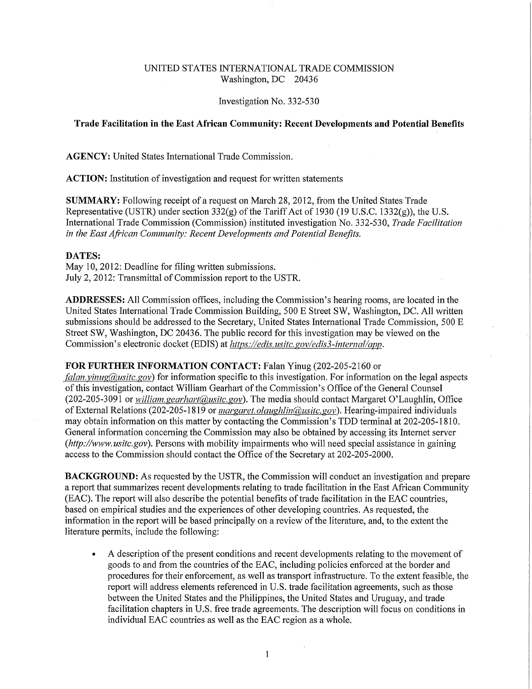# UNITED STATES INTERNATIONAL TRADE COMMISSION Washington, DC 20436

#### Investigation No. 332-530

# **Trade Facilitation in the East African Community: Recent Developments and Potential Benefits**

**AGENCY:** United States International Trade Commission.

**ACTION:** Institution of investigation and request for written statements

**SUMMARY:** Following receipt of a request on March 28, 2012, from the United States Trade Representative (USTR) under section 332(g) of the Tariff Act of 1930 (19 U.S.C. 1332(g)), the U.S. International Trade Commission (Commission) instituted investigation No. 332-530, *Trade Facilitation in the East African Community: Recent Developments and Potential Benefits,* 

### **DATES:**

May 10, 2012: Deadline for filing written submissions. July 2, 2012: Transmittal of Commission report to the USTR.

**ADDRESSES:** All Commission offices, including the Commission's hearing rooms, are located in the United States International Trade Commission Building, 500 E Street SW, Washington, DC. All written submissions should be addressed to the Secretary, United States International Trade Commission, 500 E Street SW, Washington, DC 20436. The public record for this investigation may be viewed on the Commission's electronic docket (EDIS) at *https://edis.usitc.gov/edis3-internal/app.* 

### **FOR FURTHER INFORMATION CONTACT:** Falan Yinug (202-205-2160 or

*falan.yinug(a),usitc.gov)* for information specific to this investigation. For information on the legal aspects of this investigation, contact William Gearhart of the Commission's Office of the General Counsel (202-205-3091 or *william.gearhart@usitc.gov*). The media should contact Margaret O'Laughlin, Office of External Relations (202-205-1819 or *margaret.olaughlin(@usitc.gov*). Hearing-impaired individuals may obtain information on this matter by contacting the Commission's TDD terminal at 202-205-1810. General information concerning the Commission may also be obtained by accessing its Internet server *(http://www.usitc.gov).* Persons with mobility impairments who will need special assistance in gaining access to the Commission should contact the Office of the Secretary at 202-205-2000.

**BACKGROUND:** As requested by the USTR, the Commission will conduct an investigation and prepare a report that summarizes recent developments relating to trade facilitation in the East African Community (EAC). The report will also describe the potential benefits of trade facilitation in the EAC countries, based on empirical studies and the experiences of other developing countries. As requested, the information in the report will be based principally on a review of the literature, and, to the extent the literature permits, include the following:

• A description of the present conditions and recent developments relating to the movement of goods to and from the countries of the EAC, including policies enforced at the border and procedures for their enforcement, as well as transport infrastructure. To the extent feasible, the report will address elements referenced in U.S. trade facilitation agreements, such as those between the United States and the Philippines, the United States and Uruguay, and trade facilitation chapters in U.S. free trade agreements. The description will focus on conditions in individual EAC countries as well as the EAC region as a whole.

**1**